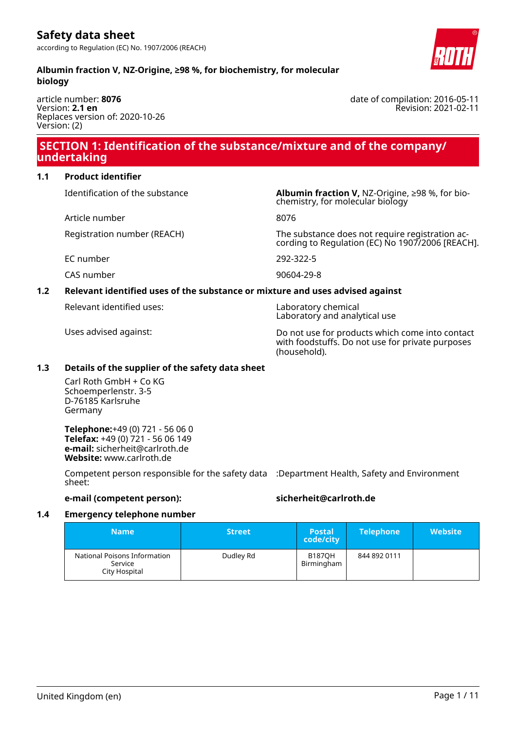date of compilation: 2016-05-11

Revision: 2021-02-11

#### **Albumin fraction V, NZ-Origine, ≥98 %, for biochemistry, for molecular biology**

article number: **8076** Version: **2.1 en** Replaces version of: 2020-10-26 Version: (2)

# **SECTION 1: Identification of the substance/mixture and of the company/ undertaking**

#### **1.1 Product identifier**

Article number 8076

Identification of the substance **Albumin fraction V,** NZ-Origine, ≥98 %, for biochemistry, for molecular biology

Registration number (REACH) The substance does not require registration according to Regulation (EC) No 1907/2006 [REACH].

EC number 292-322-5

CAS number 90604-29-8

#### **1.2 Relevant identified uses of the substance or mixture and uses advised against**

Relevant identified uses: Laboratory chemical

Laboratory and analytical use

Uses advised against: Do not use for products which come into contact with foodstuffs. Do not use for private purposes (household).

#### **1.3 Details of the supplier of the safety data sheet**

Carl Roth GmbH + Co KG Schoemperlenstr. 3-5 D-76185 Karlsruhe Germany

**Telephone:**+49 (0) 721 - 56 06 0 **Telefax:** +49 (0) 721 - 56 06 149 **e-mail:** sicherheit@carlroth.de **Website:** www.carlroth.de

Competent person responsible for the safety data :Department Health, Safety and Environment sheet:

**e-mail (competent person): sicherheit@carlroth.de**

#### **1.4 Emergency telephone number**

| <b>Name</b>                                              | <b>Street</b> | <b>Postal</b><br>code/city  | <b>Telephone</b> | <b>Website</b> |
|----------------------------------------------------------|---------------|-----------------------------|------------------|----------------|
| National Poisons Information<br>Service<br>City Hospital | Dudley Rd     | <b>B187OH</b><br>Birmingham | 844 892 0111     |                |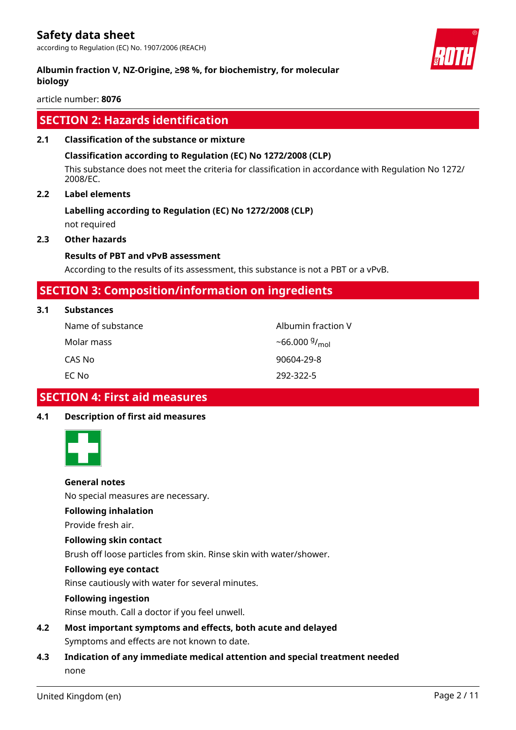**Albumin fraction V, NZ-Origine, ≥98 %, for biochemistry, for molecular biology**



# **SECTION 2: Hazards identification**

#### **2.1 Classification of the substance or mixture**

#### **Classification according to Regulation (EC) No 1272/2008 (CLP)**

This substance does not meet the criteria for classification in accordance with Regulation No 1272/ 2008/EC.

#### **2.2 Label elements**

# **Labelling according to Regulation (EC) No 1272/2008 (CLP)**

not required

#### **2.3 Other hazards**

#### **Results of PBT and vPvB assessment**

According to the results of its assessment, this substance is not a PBT or a vPvB.

## **SECTION 3: Composition/information on ingredients**

| Name of substance | Albumin fraction V |
|-------------------|--------------------|
| Molar mass        | $~56.000~9/_{mol}$ |
| CAS No            | 90604-29-8         |
| EC Nol            | 292-322-5          |

# **SECTION 4: First aid measures**

#### **4.1 Description of first aid measures**



#### **General notes**

No special measures are necessary.

#### **Following inhalation**

Provide fresh air.

#### **Following skin contact**

Brush off loose particles from skin. Rinse skin with water/shower.

#### **Following eye contact**

Rinse cautiously with water for several minutes.

#### **Following ingestion**

Rinse mouth. Call a doctor if you feel unwell.

- **4.2 Most important symptoms and effects, both acute and delayed** Symptoms and effects are not known to date.
- **4.3 Indication of any immediate medical attention and special treatment needed** none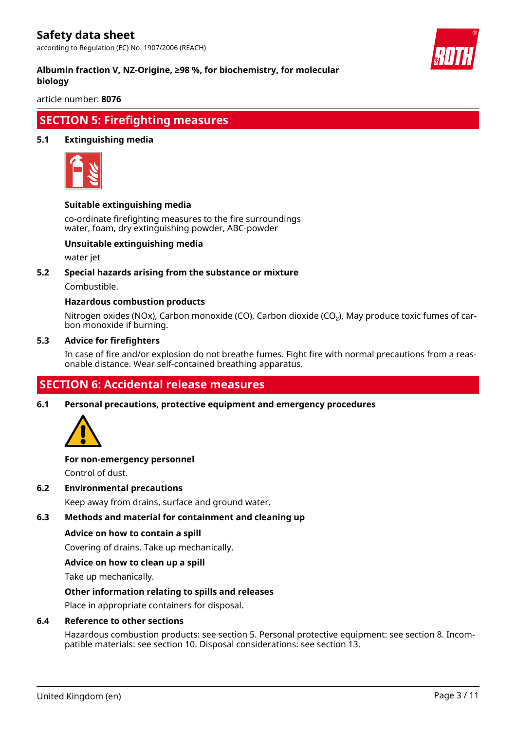according to Regulation (EC) No. 1907/2006 (REACH)



#### **Albumin fraction V, NZ-Origine, ≥98 %, for biochemistry, for molecular biology**

article number: **8076**

### **SECTION 5: Firefighting measures**

#### **5.1 Extinguishing media**



#### **Suitable extinguishing media**

co-ordinate firefighting measures to the fire surroundings water, foam, dry extinguishing powder, ABC-powder

#### **Unsuitable extinguishing media**

water jet

#### **5.2 Special hazards arising from the substance or mixture**

Combustible.

#### **Hazardous combustion products**

Nitrogen oxides (NOx), Carbon monoxide (CO), Carbon dioxide (CO₂), May produce toxic fumes of carbon monoxide if burning.

#### **5.3 Advice for firefighters**

In case of fire and/or explosion do not breathe fumes. Fight fire with normal precautions from a reasonable distance. Wear self-contained breathing apparatus.

# **SECTION 6: Accidental release measures**

**6.1 Personal precautions, protective equipment and emergency procedures**



#### **For non-emergency personnel**

Control of dust.

#### **6.2 Environmental precautions**

Keep away from drains, surface and ground water.

#### **6.3 Methods and material for containment and cleaning up**

#### **Advice on how to contain a spill**

Covering of drains. Take up mechanically.

#### **Advice on how to clean up a spill**

Take up mechanically.

#### **Other information relating to spills and releases**

Place in appropriate containers for disposal.

#### **6.4 Reference to other sections**

Hazardous combustion products: see section 5. Personal protective equipment: see section 8. Incompatible materials: see section 10. Disposal considerations: see section 13.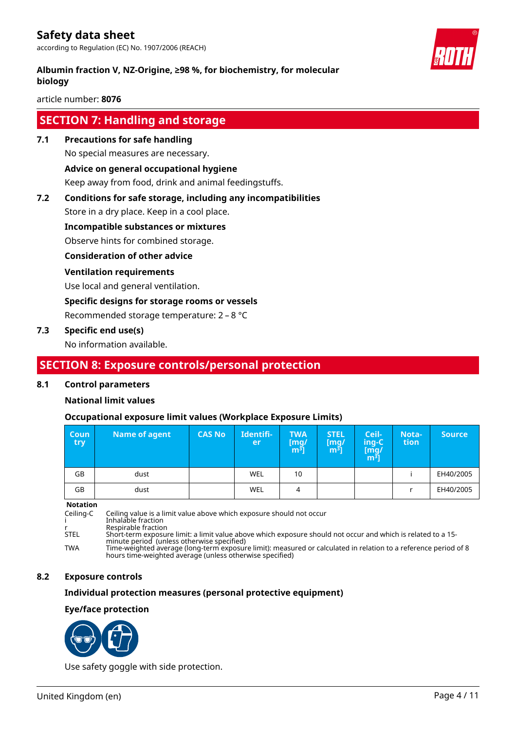

article number: **8076**

### **SECTION 7: Handling and storage**

**7.1 Precautions for safe handling**

No special measures are necessary.

#### **Advice on general occupational hygiene**

Keep away from food, drink and animal feedingstuffs.

#### **7.2 Conditions for safe storage, including any incompatibilities**

Store in a dry place. Keep in a cool place.

#### **Incompatible substances or mixtures**

Observe hints for combined storage.

#### **Consideration of other advice**

#### **Ventilation requirements**

Use local and general ventilation.

#### **Specific designs for storage rooms or vessels**

Recommended storage temperature: 2 – 8 °C

#### **7.3 Specific end use(s)**

No information available.

# **SECTION 8: Exposure controls/personal protection**

#### **8.1 Control parameters**

#### **National limit values**

#### **Occupational exposure limit values (Workplace Exposure Limits)**

| <b>Coun</b><br>try | Name of agent | <b>CAS No</b> | Identifi-<br>er | <b>TWA</b><br>[mg/<br>m <sup>3</sup> | <b>STEL</b><br>$\mathsf{[mq]}$<br>m <sup>3</sup> | Ceil-<br>ing-C'<br>[mg/<br>m <sup>ɜ</sup> ] | Nota-<br>tion | <b>Source</b> |
|--------------------|---------------|---------------|-----------------|--------------------------------------|--------------------------------------------------|---------------------------------------------|---------------|---------------|
| GB                 | dust          |               | WEL             | 10                                   |                                                  |                                             |               | EH40/2005     |
| GB                 | dust          |               | WEL             | 4                                    |                                                  |                                             |               | EH40/2005     |

**Notation**

Ceiling-C Ceiling value is a limit value above which exposure should not occur

i Inhalable fraction

r Respirable fraction<br>Short-term exposure Short-term exposure limit: a limit value above which exposure should not occur and which is related to a 15minute period (unless otherwise specified)

TWA Time-weighted average (long-term exposure limit): measured or calculated in relation to a reference period of 8 hours time-weighted average (unless otherwise specified)

#### **8.2 Exposure controls**

#### **Individual protection measures (personal protective equipment)**

#### **Eye/face protection**



Use safety goggle with side protection.

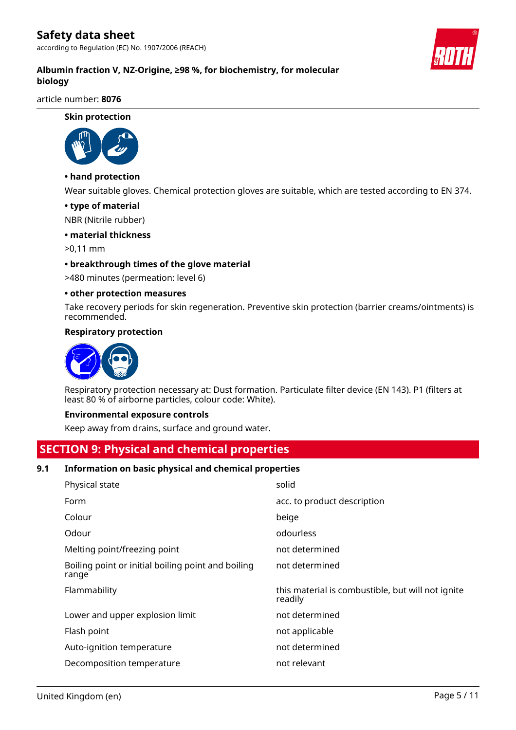according to Regulation (EC) No. 1907/2006 (REACH)



article number: **8076**

**Skin protection**



#### **• hand protection**

Wear suitable gloves. Chemical protection gloves are suitable, which are tested according to EN 374.

#### **• type of material**

NBR (Nitrile rubber)

#### **• material thickness**

>0,11 mm

#### **• breakthrough times of the glove material**

>480 minutes (permeation: level 6)

#### **• other protection measures**

Take recovery periods for skin regeneration. Preventive skin protection (barrier creams/ointments) is recommended.

#### **Respiratory protection**



Respiratory protection necessary at: Dust formation. Particulate filter device (EN 143). P1 (filters at least 80 % of airborne particles, colour code: White).

#### **Environmental exposure controls**

Keep away from drains, surface and ground water.

# **SECTION 9: Physical and chemical properties**

#### **9.1 Information on basic physical and chemical properties**

| Physical state                                              | solid                                                        |
|-------------------------------------------------------------|--------------------------------------------------------------|
| Form                                                        | acc. to product description                                  |
| Colour                                                      | beige                                                        |
| Odour                                                       | odourless                                                    |
| Melting point/freezing point                                | not determined                                               |
| Boiling point or initial boiling point and boiling<br>range | not determined                                               |
|                                                             |                                                              |
| Flammability                                                | this material is combustible, but will not ignite<br>readily |
| Lower and upper explosion limit                             | not determined                                               |
| Flash point                                                 | not applicable                                               |
| Auto-ignition temperature                                   | not determined                                               |
| Decomposition temperature                                   | not relevant                                                 |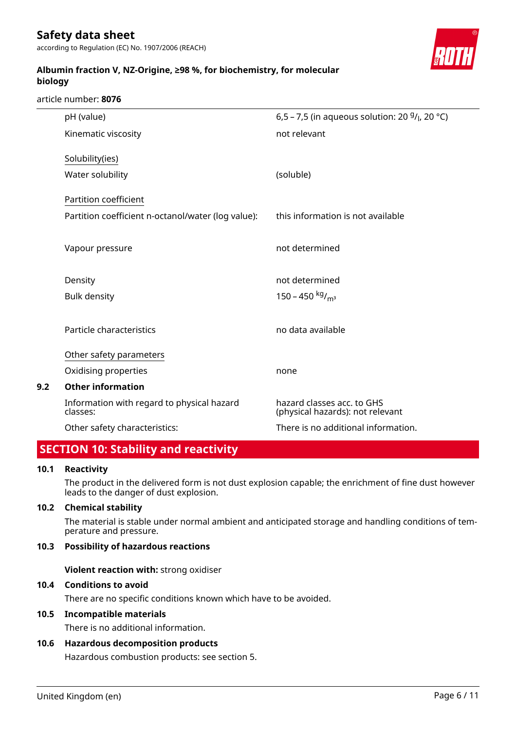according to Regulation (EC) No. 1907/2006 (REACH)



### **Albumin fraction V, NZ-Origine, ≥98 %, for biochemistry, for molecular biology**

#### article number: **8076**

|     | pH (value)                                             | 6,5 – 7,5 (in aqueous solution: 20 $9/$ <sub>l</sub> , 20 °C)  |
|-----|--------------------------------------------------------|----------------------------------------------------------------|
|     | Kinematic viscosity                                    | not relevant                                                   |
|     | Solubility(ies)                                        |                                                                |
|     | Water solubility                                       | (soluble)                                                      |
|     | Partition coefficient                                  |                                                                |
|     | Partition coefficient n-octanol/water (log value):     | this information is not available                              |
|     | Vapour pressure                                        | not determined                                                 |
|     | Density                                                | not determined                                                 |
|     | <b>Bulk density</b>                                    | 150 – 450 kg/m <sup>3</sup>                                    |
|     | Particle characteristics                               | no data available                                              |
|     | Other safety parameters                                |                                                                |
|     | Oxidising properties                                   | none                                                           |
| 9.2 | <b>Other information</b>                               |                                                                |
|     | Information with regard to physical hazard<br>classes: | hazard classes acc. to GHS<br>(physical hazards): not relevant |
|     | Other safety characteristics:                          | There is no additional information.                            |

# **SECTION 10: Stability and reactivity**

#### **10.1 Reactivity**

The product in the delivered form is not dust explosion capable; the enrichment of fine dust however leads to the danger of dust explosion.

#### **10.2 Chemical stability**

The material is stable under normal ambient and anticipated storage and handling conditions of temperature and pressure.

#### **10.3 Possibility of hazardous reactions**

**Violent reaction with:** strong oxidiser

#### **10.4 Conditions to avoid**

There are no specific conditions known which have to be avoided.

### **10.5 Incompatible materials**

There is no additional information.

#### **10.6 Hazardous decomposition products**

Hazardous combustion products: see section 5.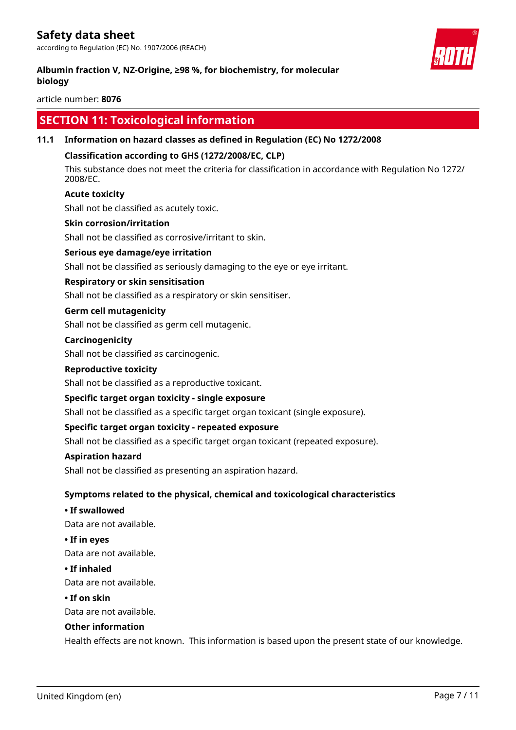according to Regulation (EC) No. 1907/2006 (REACH)

#### **Albumin fraction V, NZ-Origine, ≥98 %, for biochemistry, for molecular biology**



article number: **8076**

# **SECTION 11: Toxicological information**

#### **11.1 Information on hazard classes as defined in Regulation (EC) No 1272/2008**

#### **Classification according to GHS (1272/2008/EC, CLP)**

This substance does not meet the criteria for classification in accordance with Regulation No 1272/ 2008/EC.

#### **Acute toxicity**

Shall not be classified as acutely toxic.

#### **Skin corrosion/irritation**

Shall not be classified as corrosive/irritant to skin.

#### **Serious eye damage/eye irritation**

Shall not be classified as seriously damaging to the eye or eye irritant.

#### **Respiratory or skin sensitisation**

Shall not be classified as a respiratory or skin sensitiser.

#### **Germ cell mutagenicity**

Shall not be classified as germ cell mutagenic.

#### **Carcinogenicity**

Shall not be classified as carcinogenic.

#### **Reproductive toxicity**

Shall not be classified as a reproductive toxicant.

#### **Specific target organ toxicity - single exposure**

Shall not be classified as a specific target organ toxicant (single exposure).

#### **Specific target organ toxicity - repeated exposure**

Shall not be classified as a specific target organ toxicant (repeated exposure).

#### **Aspiration hazard**

Shall not be classified as presenting an aspiration hazard.

#### **Symptoms related to the physical, chemical and toxicological characteristics**

**• If swallowed**

Data are not available.

**• If in eyes**

Data are not available.

#### **• If inhaled**

Data are not available.

#### **• If on skin**

Data are not available.

#### **Other information**

Health effects are not known. This information is based upon the present state of our knowledge.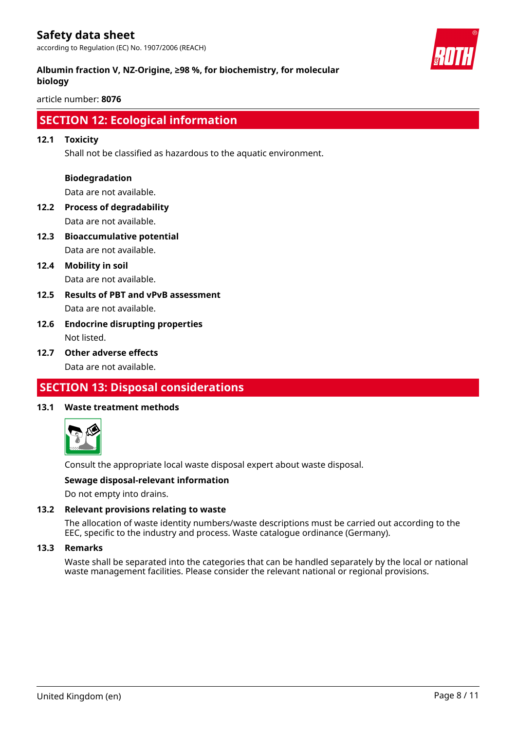according to Regulation (EC) No. 1907/2006 (REACH)



### **Albumin fraction V, NZ-Origine, ≥98 %, for biochemistry, for molecular biology**

article number: **8076**

# **SECTION 12: Ecological information**

#### **12.1 Toxicity**

Shall not be classified as hazardous to the aquatic environment.

#### **Biodegradation**

Data are not available.

- **12.2 Process of degradability** Data are not available.
- **12.3 Bioaccumulative potential** Data are not available.
- **12.4 Mobility in soil** Data are not available.
- **12.5 Results of PBT and vPvB assessment** Data are not available.
- **12.6 Endocrine disrupting properties** Not listed.
- **12.7 Other adverse effects** Data are not available.

# **SECTION 13: Disposal considerations**

#### **13.1 Waste treatment methods**



Consult the appropriate local waste disposal expert about waste disposal.

#### **Sewage disposal-relevant information**

Do not empty into drains.

#### **13.2 Relevant provisions relating to waste**

The allocation of waste identity numbers/waste descriptions must be carried out according to the EEC, specific to the industry and process. Waste catalogue ordinance (Germany).

#### **13.3 Remarks**

Waste shall be separated into the categories that can be handled separately by the local or national waste management facilities. Please consider the relevant national or regional provisions.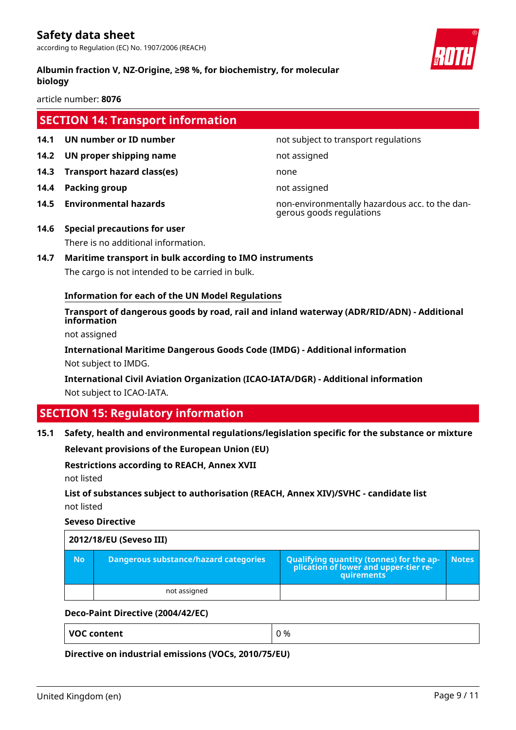**Albumin fraction V, NZ-Origine, ≥98 %, for biochemistry, for molecular biology**

article number: **8076**

# **SECTION 14: Transport information**

- **14.1 UN number or ID number 12.1 14.1 UN number not subject to transport regulations**
- **14.2 UN proper shipping name** not assigned
- **14.3 Transport hazard class(es)** none
- **14.4 Packing group not assigned**
- 

**14.5 Environmental hazards** non-environmentally hazardous acc. to the dangerous goods regulations

- **14.6 Special precautions for user** There is no additional information.
- **14.7 Maritime transport in bulk according to IMO instruments** The cargo is not intended to be carried in bulk.

### **Information for each of the UN Model Regulations**

**Transport of dangerous goods by road, rail and inland waterway (ADR/RID/ADN) - Additional information**

not assigned

**International Maritime Dangerous Goods Code (IMDG) - Additional information** Not subject to IMDG.

**International Civil Aviation Organization (ICAO-IATA/DGR) - Additional information** Not subject to ICAO-IATA.

# **SECTION 15: Regulatory information**

**15.1 Safety, health and environmental regulations/legislation specific for the substance or mixture**

**Relevant provisions of the European Union (EU)**

#### **Restrictions according to REACH, Annex XVII**

not listed

**List of substances subject to authorisation (REACH, Annex XIV)/SVHC - candidate list** not listed

**Seveso Directive**

| 2012/18/EU (Seveso III) |                                              |                                                                                            |              |
|-------------------------|----------------------------------------------|--------------------------------------------------------------------------------------------|--------------|
| No.                     | <b>Dangerous substance/hazard categories</b> | Qualifying quantity (tonnes) for the application of lower and upper-tier re-<br>quirements | <b>Notes</b> |
|                         | not assigned                                 |                                                                                            |              |

#### **Deco-Paint Directive (2004/42/EC)**

**VOC content**  $\begin{array}{ccc} \n\sqrt{0} & \sqrt{0} & \sqrt{0} & \sqrt{0} & \sqrt{0} & \sqrt{0} & \sqrt{0} & \sqrt{0} & \sqrt{0} & \sqrt{0} & \sqrt{0} & \sqrt{0} & \sqrt{0} & \sqrt{0} & \sqrt{0} & \sqrt{0} & \sqrt{0} & \sqrt{0} & \sqrt{0} & \sqrt{0} & \sqrt{0} & \sqrt{0} & \sqrt{0} & \sqrt{0} & \sqrt{0} & \sqrt{0} & \sqrt{0} & \sqrt{0} & \sqrt{0} & \sqrt{0} & \sqrt{0} & \sqrt{0} & \sqrt{0} &$ 

**Directive on industrial emissions (VOCs, 2010/75/EU)**

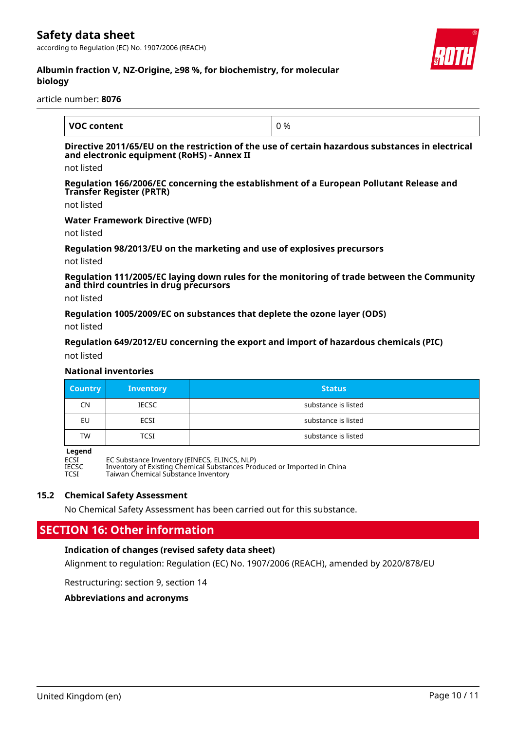according to Regulation (EC) No. 1907/2006 (REACH)



#### **Albumin fraction V, NZ-Origine, ≥98 %, for biochemistry, for molecular biology**

article number: **8076**

| <b>VOC content</b> | 0% |
|--------------------|----|

#### **Directive 2011/65/EU on the restriction of the use of certain hazardous substances in electrical and electronic equipment (RoHS) - Annex II**

not listed

**Regulation 166/2006/EC concerning the establishment of a European Pollutant Release and Transfer Register (PRTR)**

not listed

#### **Water Framework Directive (WFD)**

not listed

#### **Regulation 98/2013/EU on the marketing and use of explosives precursors**

not listed

**Regulation 111/2005/EC laying down rules for the monitoring of trade between the Community and third countries in drug precursors**

not listed

**Regulation 1005/2009/EC on substances that deplete the ozone layer (ODS)**

not listed

#### **Regulation 649/2012/EU concerning the export and import of hazardous chemicals (PIC)**

not listed

#### **National inventories**

| <b>Country</b> | <b>Inventory</b> | <b>Status</b>       |
|----------------|------------------|---------------------|
| CN             | <b>IECSC</b>     | substance is listed |
| EU             | ECSI             | substance is listed |
| <b>TW</b>      | TCSI             | substance is listed |

**Legend**<br>ECSI<br>IECSC ECSI EC Substance Inventory (EINECS, ELINCS, NLP) IECSC Inventory of Existing Chemical Substances Produced or Imported in China TCSI Taiwan Chemical Substance Inventory

#### **15.2 Chemical Safety Assessment**

No Chemical Safety Assessment has been carried out for this substance.

# **SECTION 16: Other information**

#### **Indication of changes (revised safety data sheet)**

Alignment to regulation: Regulation (EC) No. 1907/2006 (REACH), amended by 2020/878/EU

Restructuring: section 9, section 14

**Abbreviations and acronyms**